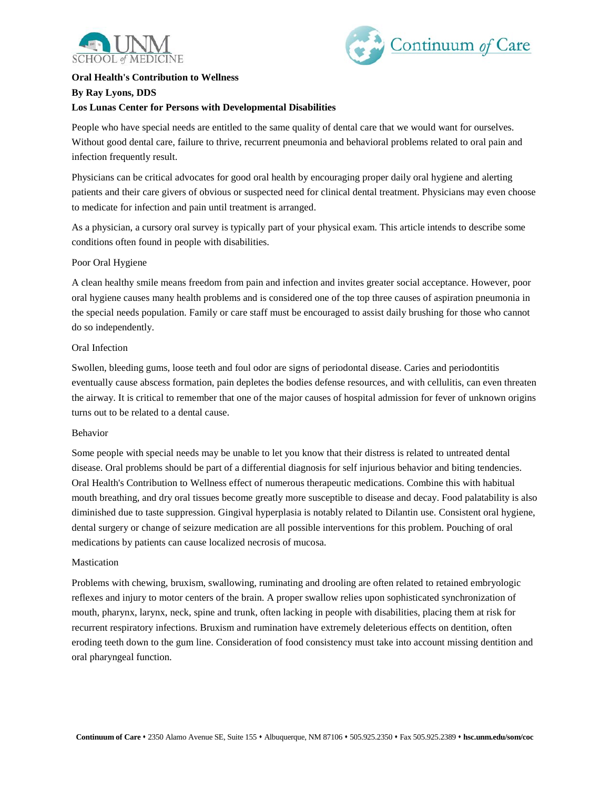



# **Oral Health's Contribution to Wellness By Ray Lyons, DDS Los Lunas Center for Persons with Developmental Disabilities**

People who have special needs are entitled to the same quality of dental care that we would want for ourselves. Without good dental care, failure to thrive, recurrent pneumonia and behavioral problems related to oral pain and infection frequently result.

Physicians can be critical advocates for good oral health by encouraging proper daily oral hygiene and alerting patients and their care givers of obvious or suspected need for clinical dental treatment. Physicians may even choose to medicate for infection and pain until treatment is arranged.

As a physician, a cursory oral survey is typically part of your physical exam. This article intends to describe some conditions often found in people with disabilities.

# Poor Oral Hygiene

A clean healthy smile means freedom from pain and infection and invites greater social acceptance. However, poor oral hygiene causes many health problems and is considered one of the top three causes of aspiration pneumonia in the special needs population. Family or care staff must be encouraged to assist daily brushing for those who cannot do so independently.

# Oral Infection

Swollen, bleeding gums, loose teeth and foul odor are signs of periodontal disease. Caries and periodontitis eventually cause abscess formation, pain depletes the bodies defense resources, and with cellulitis, can even threaten the airway. It is critical to remember that one of the major causes of hospital admission for fever of unknown origins turns out to be related to a dental cause.

### Behavior

Some people with special needs may be unable to let you know that their distress is related to untreated dental disease. Oral problems should be part of a differential diagnosis for self injurious behavior and biting tendencies. Oral Health's Contribution to Wellness effect of numerous therapeutic medications. Combine this with habitual mouth breathing, and dry oral tissues become greatly more susceptible to disease and decay. Food palatability is also diminished due to taste suppression. Gingival hyperplasia is notably related to Dilantin use. Consistent oral hygiene, dental surgery or change of seizure medication are all possible interventions for this problem. Pouching of oral medications by patients can cause localized necrosis of mucosa.

#### **Mastication**

Problems with chewing, bruxism, swallowing, ruminating and drooling are often related to retained embryologic reflexes and injury to motor centers of the brain. A proper swallow relies upon sophisticated synchronization of mouth, pharynx, larynx, neck, spine and trunk, often lacking in people with disabilities, placing them at risk for recurrent respiratory infections. Bruxism and rumination have extremely deleterious effects on dentition, often eroding teeth down to the gum line. Consideration of food consistency must take into account missing dentition and oral pharyngeal function.